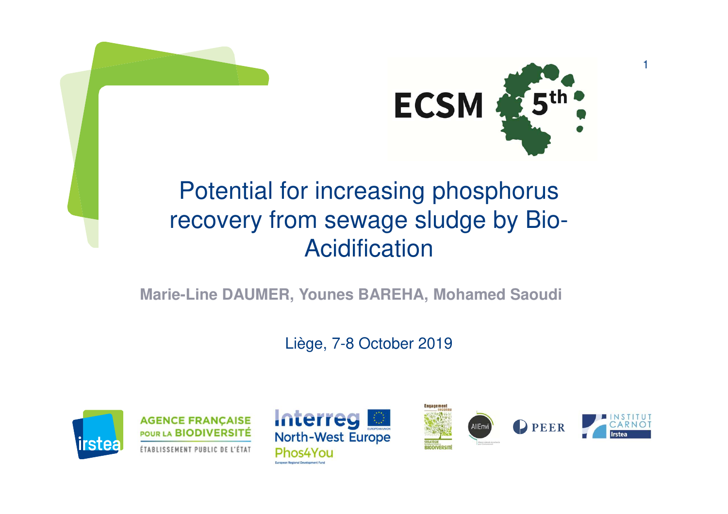



1

## Potential for increasing phosphorus recovery from sewage sludge by Bio-Acidification

#### **Marie-Line DAUMER, Younes BAREHA, Mohamed Saoudi**

Liège, 7-8 October 2019



**AGENCE FRANÇAISE** POUR LA BIODIVERSITÉ ÉTABLISSEMENT PUBLIC DE L'ÉTAT



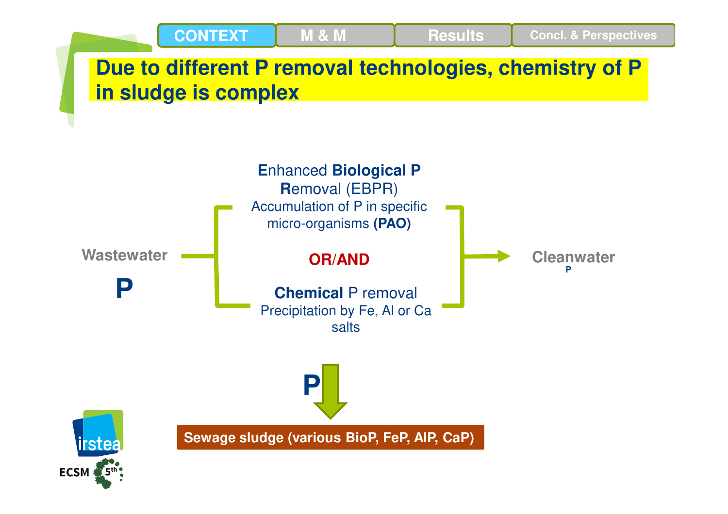

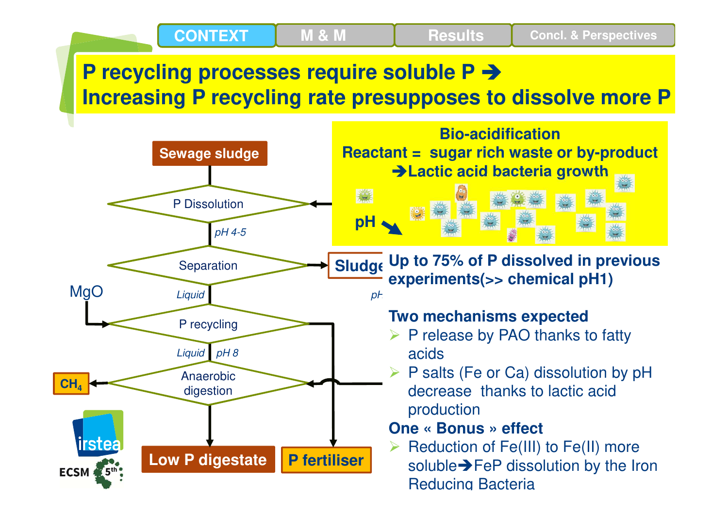## **P recycling processes require soluble P Increasing P recycling rate presupposes to dissolve more P**

**Results Concl. & Perspectives**

**M & M**

**CONTEXT**

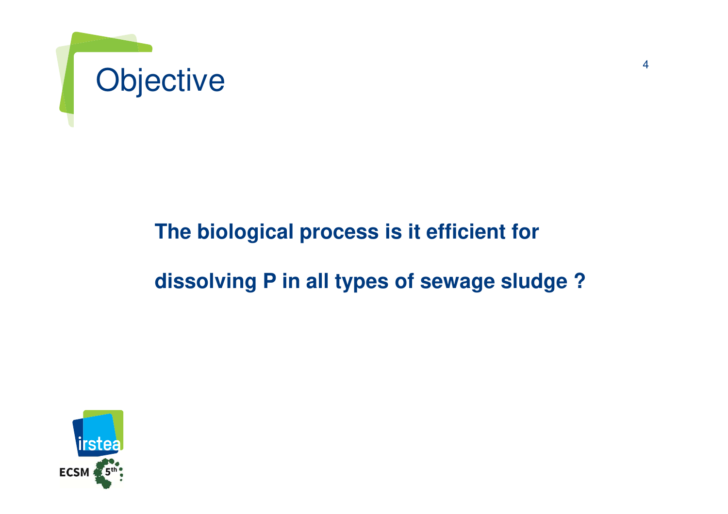

### **The biological process is it efficient for**

#### **dissolving P in all types of sewage sludge ?**

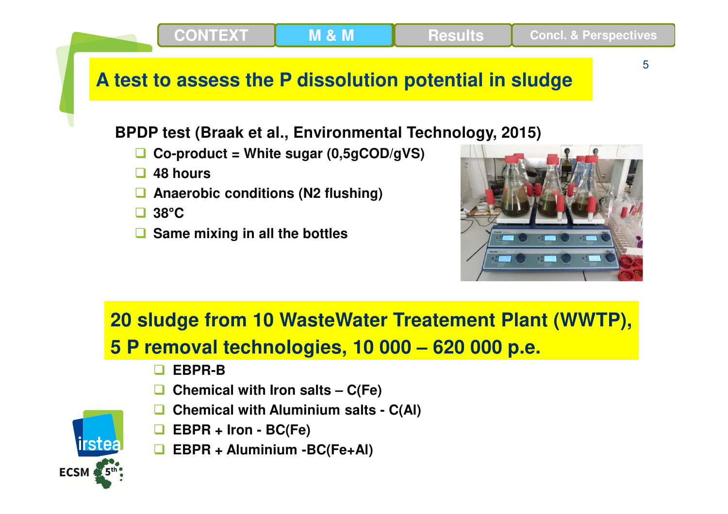**CONTEXT**

5

#### **A test to assess the P dissolution potential in sludge**

**M & M**

#### **BPDP test (Braak et al., Environmental Technology, 2015)**

- $\Box$ **Co-product = White sugar (0,5gCOD/gVS)**
- $\Box$ **48 hours**
- $\Box$ **Anaerobic conditions (N2 flushing)**
- **<sup>38</sup> °C**
- **Same mixing in all the bottles**



## **20 sludge from 10 WasteWater Treatement Plant (WWTP),**

#### **5 P removal technologies, 10 000 – 620 000 p.e.**

- n **EBPR-B**
- $\Box$ **Chemical with Iron salts – C(Fe)**
- $\Box$ **Chemical with Aluminium salts - C(Al)**
- $\Box$ **EBPR + Iron - BC(Fe)**
- **EBPR + Aluminium -BC(Fe+Al)**

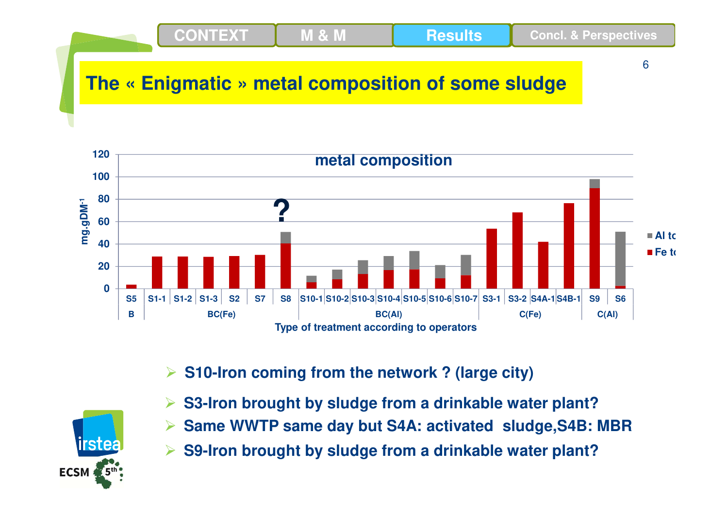### **The « Enigmatic » metal composition of some sludge**

**M & M**

**CONTEXT**



6

**Results Concl. & Perspectives**

**S10-Iron coming from the network ? (large city)**



- **S3-Iron brought by sludge from a drinkable water plant?**
- $\blacktriangleright$ **Same WWTP same day but S4A: activated sludge,S4B: MBR**
- $\blacktriangleright$ **S9-Iron brought by sludge from a drinkable water plant?**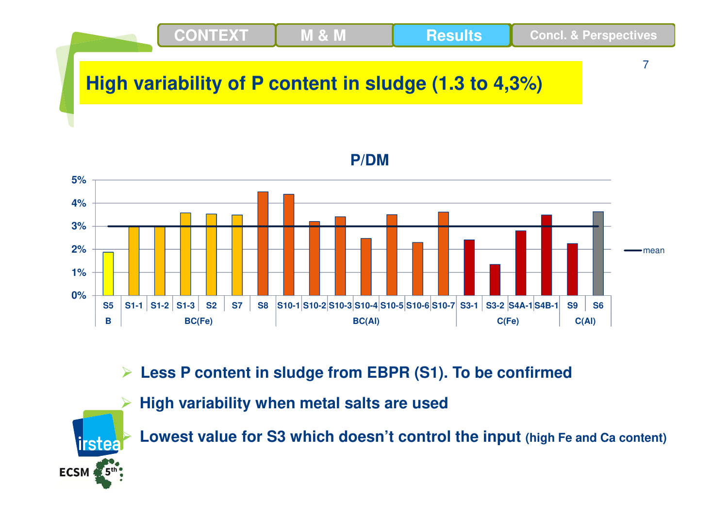

**Less P content in sludge from EBPR (S1). To be confirme d**

**High variability when metal salts are used**

 $\blacktriangleright$ 

irstea

ECSM 5th

 $\blacktriangleright$ 

**Lowest value for S3 which doesn't control the input (high Fe and Ca content)**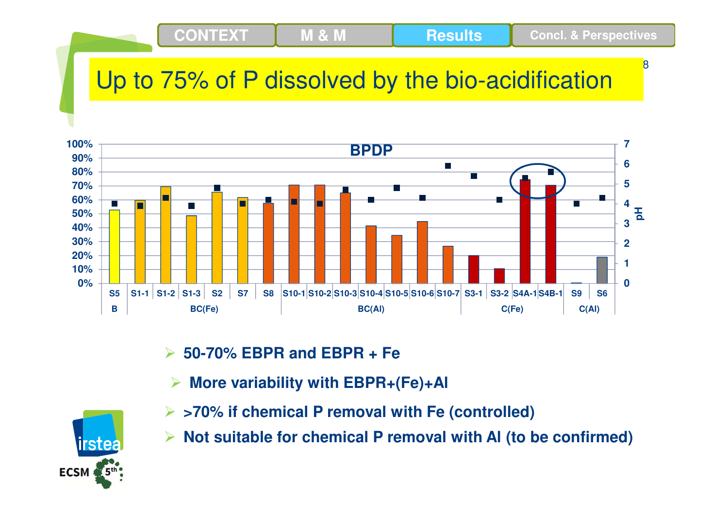## Up to 75% of P dissolved by the bio-acidification

**M & M**



 $\blacktriangleright$ **50-70% EBPR and EBPR + Fe**

**CONTEXT**

 $\blacktriangleright$ **More variability with EBPR+(Fe)+Al**



- **>70% if chemical P removal with Fe (controlled)**
- $\blacktriangleright$ **Not suitable for chemical P removal with Al (to be confirmed)**

8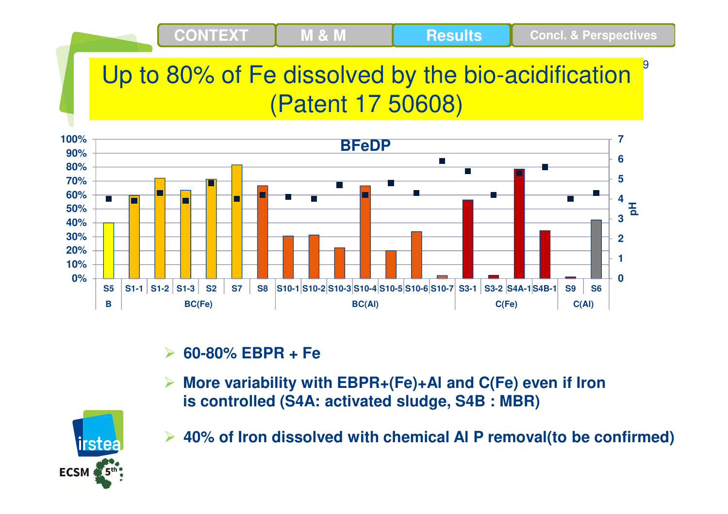## Up to 80% of Fe dissolved by the bio-acidification(Patent 17 50608)

**M & M**

9

**Results Concl. & Perspectives**



#### $\blacktriangleright$ **60-80% EBPR + Fe**

**CONTEXT**

 **More variability with EBPR+(Fe)+Al and C(Fe) even if Iron is controlled (S4A: activated sludge, S4B : MBR)**



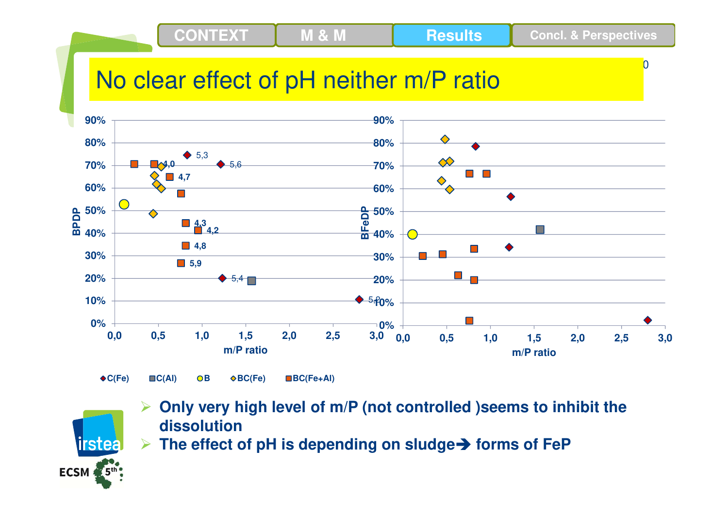**CONTEXT**

 $\overline{0}$ 

## No clear effect of pH neither m/P ratio

**M & M**



 $\bigstar C(Fe)$ 

**BC(Fe) BC(Fe+Al)**



- $\blacktriangleright$  **Only very high level of m/P (not controlled )seems to inhibit the dissolution**
- **The effect of pH is depending on sludge forms of FeP**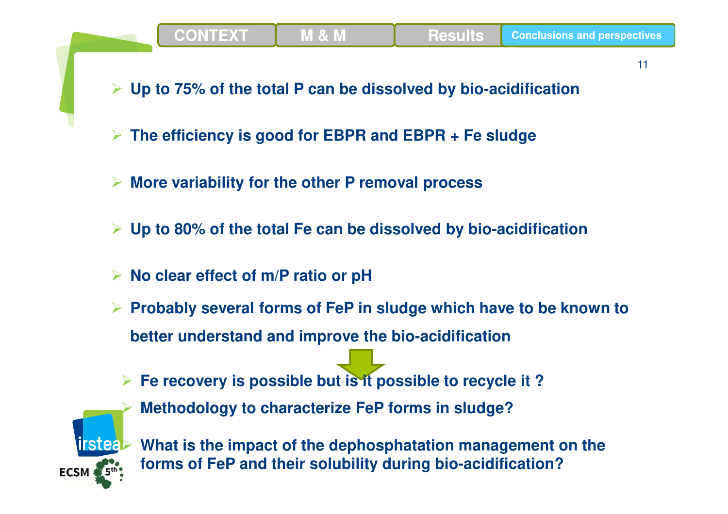

11

- **Up to 75% of the total P can be dissolved by bio-acidification**
- $\blacktriangleright$ **The efficiency is good for EBPR and EBPR + Fe sludge**
- **More variability for the other P removal process**
- **Up to 80% of the total Fe can be dissolved by bio-acidification**
- **No clear effect of m/P ratio or pH**
- **Probably several forms of FeP in sludge which have to be known to better understand and improve the bio-acidification**



- **Fe recovery is possible but is it possible to recycle it ? Methodology to characterize FeP forms in sludge?**
	- **What is the impact of the dephosphatation management on the forms of FeP and their solubility during bio-acidification?**